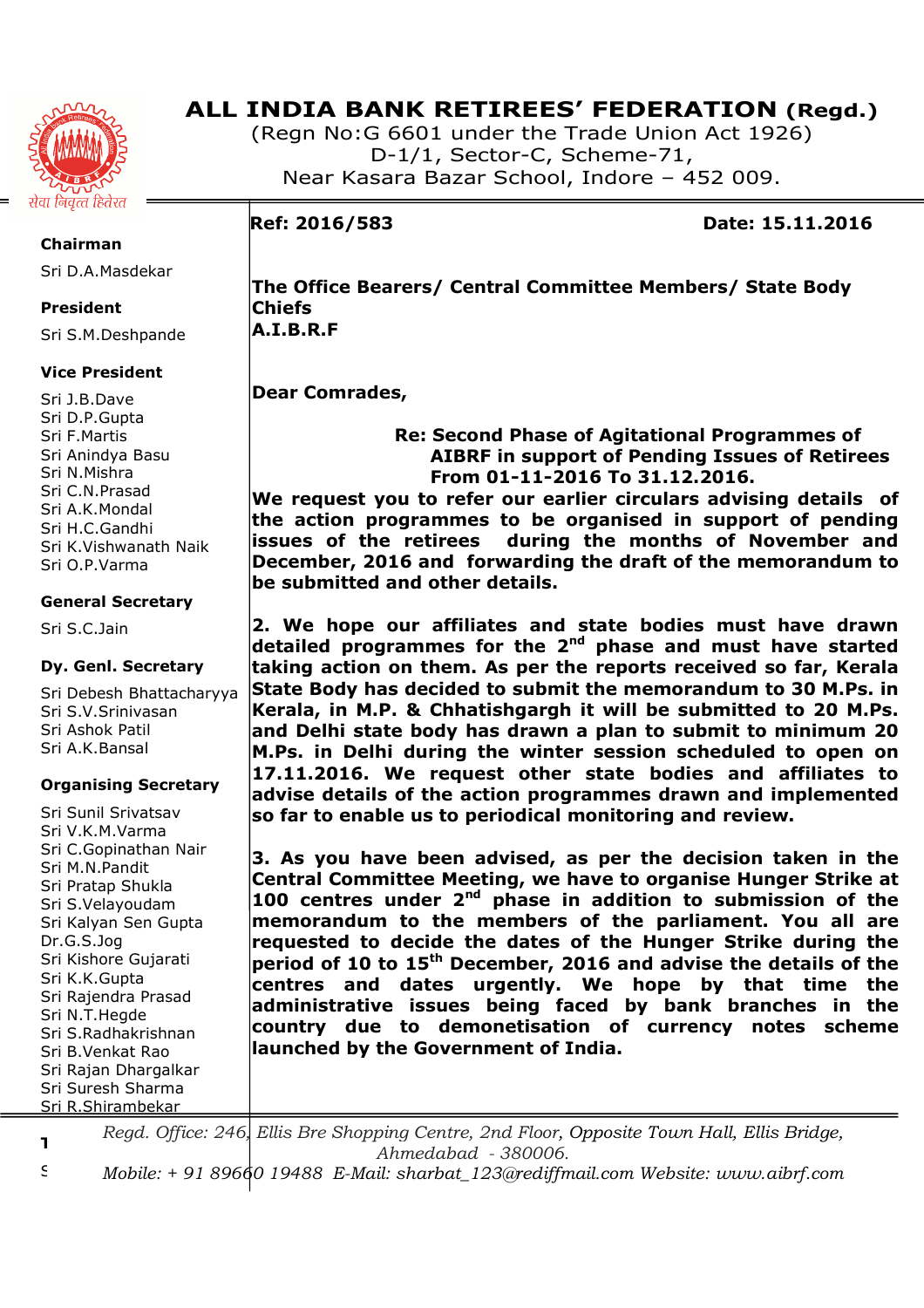

# **ALL INDIA BANK RETIREES' FEDERATION (Regd.)**

(Regn No:G 6601 under the Trade Union Act 1926) D-1/1, Sector-C, Scheme-71, Near Kasara Bazar School, Indore – 452 009.

**Ref: 2016/583 Date: 15.11.2016** 

**Chairman** 

Sri D.A.Masdekar

# **President**

Sri S.M.Deshpande

# **Vice President**

Sri J.B.Dave Sri D.P.Gupta Sri F.Martis Sri Anindya Basu Sri N.Mishra Sri C.N.Prasad Sri A.K.Mondal Sri H.C.Gandhi Sri K.Vishwanath Naik Sri O.P.Varma

## **General Secretary**

Sri S.C.Jain

# **Dy. Genl. Secretary**

Sri Debesh Bhattacharyya Sri S.V.Srinivasan Sri Ashok Patil Sri A.K.Bansal

# **Organising Secretary**

Sri Sunil Srivatsav Sri V.K.M.Varma Sri C.Gopinathan Nair Sri M.N.Pandit Sri Pratap Shukla Sri S.Velayoudam Sri Kalyan Sen Gupta Dr.G.S.Jog Sri Kishore Gujarati Sri K.K.Gupta Sri Rajendra Prasad Sri N.T.Hegde Sri S.Radhakrishnan Sri B.Venkat Rao Sri Rajan Dhargalkar Sri Suresh Sharma Sri R.Shirambekar

**The Office Bearers/ Central Committee Members/ State Body Chiefs A.I.B.R.F** 

# **Dear Comrades,**

# **Re: Second Phase of Agitational Programmes of AIBRF in support of Pending Issues of Retirees From 01-11-2016 To 31.12.2016.**

**We request you to refer our earlier circulars advising details of the action programmes to be organised in support of pending issues of the retirees during the months of November and December, 2016 and forwarding the draft of the memorandum to be submitted and other details.** 

**2. We hope our affiliates and state bodies must have drawn detailed programmes for the 2nd phase and must have started taking action on them. As per the reports received so far, Kerala State Body has decided to submit the memorandum to 30 M.Ps. in Kerala, in M.P. & Chhatishgargh it will be submitted to 20 M.Ps. and Delhi state body has drawn a plan to submit to minimum 20 M.Ps. in Delhi during the winter session scheduled to open on 17.11.2016. We request other state bodies and affiliates to advise details of the action programmes drawn and implemented so far to enable us to periodical monitoring and review.** 

**3. As you have been advised, as per the decision taken in the Central Committee Meeting, we have to organise Hunger Strike at 100 centres under 2nd phase in addition to submission of the memorandum to the members of the parliament. You all are requested to decide the dates of the Hunger Strike during the period of 10 to 15th December, 2016 and advise the details of the centres and dates urgently. We hope by that time the administrative issues being faced by bank branches in the country due to demonetisation of currency notes scheme launched by the Government of India.** 

**Treasurer**  *Regd. Office: 246, Ellis Bre Shopping Centre, 2nd Floor, Opposite Town Hall, Ellis Bridge, Ahmedabad - 380006.* 

Sri M.S.Chourey *Mobile: + 91 89660 19488 E-Mail: sharbat\_123@rediffmail.com Website: www.aibrf.com*